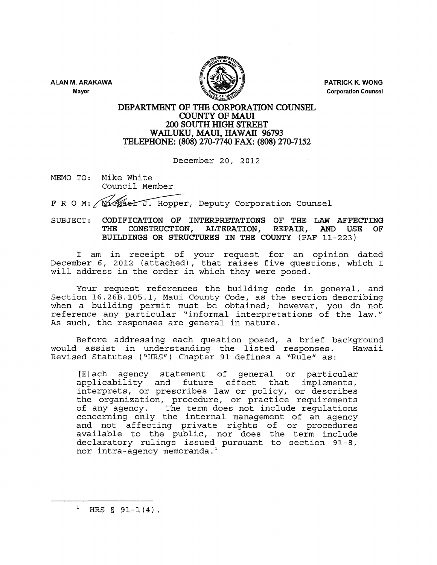ALAN M. ARAKAWA





PATRICK K. WONG Corporation Counsel

# DEPARTMENT OF THE CORPORATION COUNSEL COUNTY OF MAll 200 SOUTH HIGH STREET WAILUKU, MAUI, HAWAII 96793 TELEPHONE: (808) 270-7740 FAX: (808) 270-7152

December 20, 2012

MEMO TO: Mike White Council Member

F R O M: Michael J. Hopper, Deputy Corporation Counsel

# SUBJECT: CODIFICATION OF INTERPRETATIONS OF THE LAW AFFECTING<br>THE CONSTRUCTION, ALTERATION, REPAIR, AND USE OF THE CONSTRUCTION, ALTERATION, REPAIR, BUILDINGS OR STRUCTURES IN THE COUNTY (PAF 11-223)

I am in receipt of your request for an opinion dated December 6, 2012 (attached), that raises five questions, which I will address in the order in which they were posed.

Your request references the building code in general, and Section 16.26B.105.1, Maui County Code, as the section describing when a building permit must be obtained; however, you do not reference any particular "informal interpretations of the law." As such, the responses are general in nature.

Before addressing each question posed, a brief background<br>l assist in understanding the listed responses. Hawaii would assist in understanding the listed responses. Revised Statutes ("HRS") Chapter 91 defines a "Rule" as:

[E]ach agency statement of general or particular applicability and future effect that implements, interprets, or prescribes law or policy, or describes the organization, procedure, or practice requirements of any agency. The term does not include regulations concerning only the internal management of an agency and not affecting private rights of or procedures available to the public, nor does the term include declaratory rulings issued pursuant to section 91-8, nor intra-agency memoranda. <sup>1</sup>

<sup>1</sup> HRS §  $91-1(4)$ .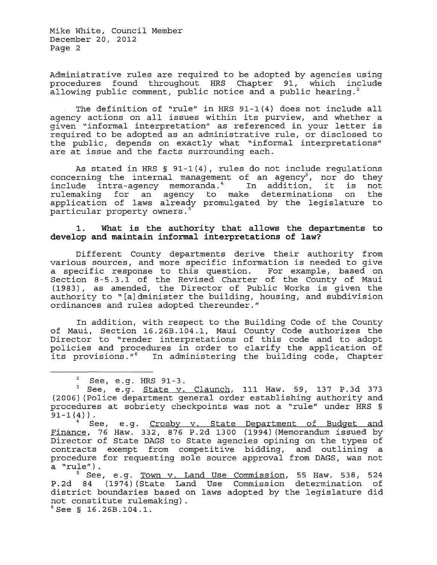Mike White, Council Member December 20, 2012 Page 2

Administrative rules are required to be adopted by agencies using<br>procedures found throughout HRS Chapter 91, which include procedures found throughout HRS Chapter 91, which allowing public comment, public notice and a public hearing.<sup>2</sup>

The definition of "rule" in HRS 91-1(4) does not include all agency actions on all issues within its purview, and whether a given "informal interpretation" as referenced in your letter is required to be adopted as an administrative rule, or disclosed to the public, depends on exactly what "informal interpretations" are at issue and the facts surrounding each.

As stated in HRS § 91-1(4), rules do not include regulations concerning the internal management of an agency<sup>3</sup>, nor do they<br>include intra-agency memoranda.<sup>4</sup> In addition, it is not include intra-agency memoranda.<sup>4</sup> In addition, it is not<br>rulemaking for an agency to make determinations on the rulemaking for an agency to make determinations on application of laws already promulgated by the legislature to particular property owners.<sup>5</sup>

# 1. What is the authority that allows the departments to develop and maintain informal interpretations of law?

Different County departments derive their authority from various sources, and more specific information is needed to give a specific response to this question. For example, based on Section 8-5.3.1 of the Revised Charter of the County of Maui ( 1983) *,* as amended, the Director of Public Works is given the authority to "[a]dminister the building, housing, and subdivision ordinances and rules adopted thereunder."

In addition, with respect to the Building Code of the County of Maui, Section 16. 26B .104 .1, Maui County Code authorizes the Director to "render interpretations of this code and to adopt policies and procedures in order to clarify the application of its provisions."<sup>6</sup> In administering the building code, Chapter

<sup>&</sup>lt;sup>2</sup> See, e.g. HRS 91-3.<br><sup>3</sup> See, e.g. <u>State v. Claunch</u>, 111 Haw. 59, 137 P.3d 373 (2006) (Police department general order establishing authority and procedures at sobriety checkpoints was not a "rule" under HRS §<br>91-1(4)).

See, e.g. Crosby v. State Department of Budget and Finance, 76 Haw. 332, 876 P.2d 1300 (1994) (Memorandum issued by Director of State DAGS to State agencies opining on the types of contracts exempt from competitive bidding, and outlining a procedure for requesting sole source approval from DAGS, was not

 $5$  See, e.g. Town v. Land Use Commission, 55 Haw. 538, 524 P.2d 84 (1974) (State Land Use Commission determination of district boundaries based on laws adopted by the legislature did not constitute rulemaking).<br>'See § 16.26B.104.1.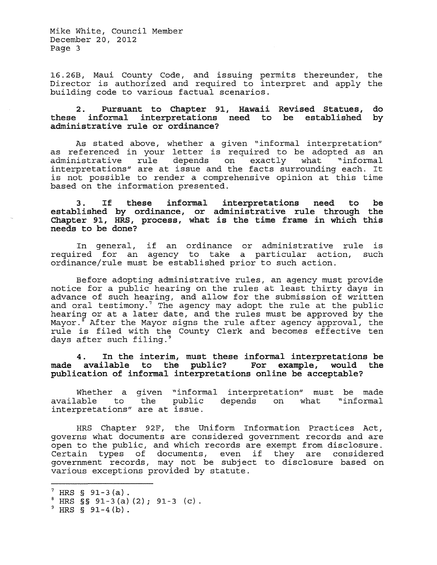Mike White, Council Member December 20, 2012 Page 3

16.26B, Maui County Code, and issuing permits thereunder, the Director is authorized and required to interpret and apply the building code to various factual scenarios.

#### 2. Pursuant to Chapter 91, Hawaii Revised Statues, these informal interpretations need to be established these informal interpretations<br>administrative rule or ordinance? do by

As stated above, whether a given "informal interpretation" as referenced in your letter is required to be adopted as an administrative rule depends on exactly what "informal administrative fulle depends on exactly what informations interpretations" are at issue and the facts surrounding each. It is not possible to render a comprehensive opinion at this time based on the information presented.

3. If these informal established by ordinance, or Chapter 91, HRS, process, what is the time frame in which this needs to be done? interpretations need to be administrative rule through the

In general, if an ordinance or administrative rule is required for an agency to take a particular action, such ordinance/rule must be established prior to such action.

Before adopting administrative rules, an agency must provide notice for a public hearing on the rules at least thirty days in advance of such hearing, and allow for the submission of written and oral testimony.<sup>7</sup> The agency may adopt the rule at the public hearing or at a later date, and the rules must be approved by the Mayor. After the Mayor signs the rule after agency approval, the rule is filed with the County Clerk and becomes effective ten days after such filing.<sup>9</sup>

4. In the interim, must these informal interpretations be made available to the public? For example, would the publication of informal interpretations online be acceptable?

Whether a given "informal interpretation" must be made<br>available to the public depends on what "informal depends on what "informal interpretations" are at issue.

HRS Chapter 92F, the Uniform Information Practices Act, governs what documents are considered government records and are open to the public, and which records are exempt from disclosure. Open to the public, and which lecolds are exempt from disclosure.<br>Certain types of documents, even if they are considered government records *1* may not be subject to disclosure based on various exceptions provided by statute.

 $7 \text{ HRS}$  § 91-3(a).<br>
<sup>8</sup> HRS § § 91-3(a)(2); 91-3 (c).<br>
<sup>9</sup> HRS § 91-4(b).